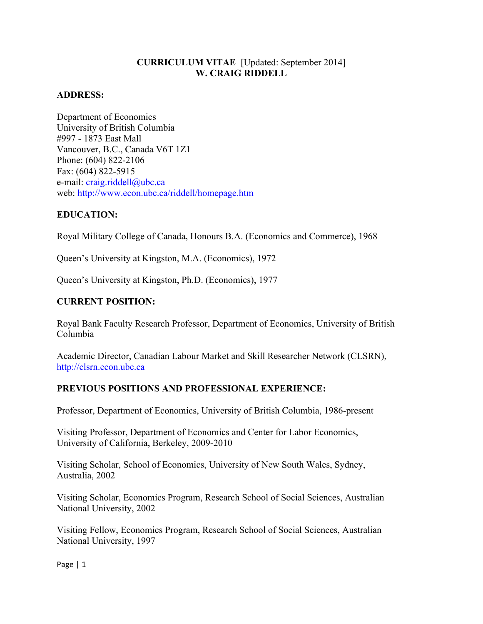## **CURRICULUM VITAE** [Updated: September 2014] **W. CRAIG RIDDELL**

### **ADDRESS:**

Department of Economics University of British Columbia #997 - 1873 East Mall Vancouver, B.C., Canada V6T 1Z1 Phone: (604) 822-2106 Fax: (604) 822-5915 e-mail: craig.riddell@ubc.ca web: http://www.econ.ubc.ca/riddell/homepage.htm

### **EDUCATION:**

Royal Military College of Canada, Honours B.A. (Economics and Commerce), 1968

Queen's University at Kingston, M.A. (Economics), 1972

Queen's University at Kingston, Ph.D. (Economics), 1977

### **CURRENT POSITION:**

Royal Bank Faculty Research Professor, Department of Economics, University of British Columbia

Academic Director, Canadian Labour Market and Skill Researcher Network (CLSRN), http://clsrn.econ.ubc.ca

### **PREVIOUS POSITIONS AND PROFESSIONAL EXPERIENCE:**

Professor, Department of Economics, University of British Columbia, 1986-present

Visiting Professor, Department of Economics and Center for Labor Economics, University of California, Berkeley, 2009-2010

Visiting Scholar, School of Economics, University of New South Wales, Sydney, Australia, 2002

Visiting Scholar, Economics Program, Research School of Social Sciences, Australian National University, 2002

Visiting Fellow, Economics Program, Research School of Social Sciences, Australian National University, 1997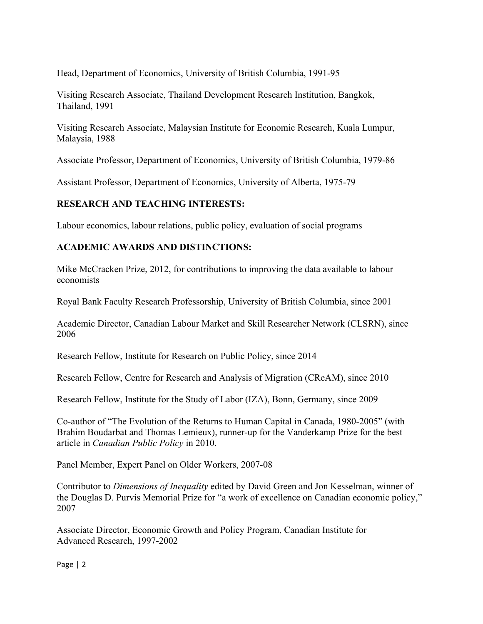Head, Department of Economics, University of British Columbia, 1991-95

Visiting Research Associate, Thailand Development Research Institution, Bangkok, Thailand, 1991

Visiting Research Associate, Malaysian Institute for Economic Research, Kuala Lumpur, Malaysia, 1988

Associate Professor, Department of Economics, University of British Columbia, 1979-86

Assistant Professor, Department of Economics, University of Alberta, 1975-79

# **RESEARCH AND TEACHING INTERESTS:**

Labour economics, labour relations, public policy, evaluation of social programs

### **ACADEMIC AWARDS AND DISTINCTIONS:**

Mike McCracken Prize, 2012, for contributions to improving the data available to labour economists

Royal Bank Faculty Research Professorship, University of British Columbia, since 2001

Academic Director, Canadian Labour Market and Skill Researcher Network (CLSRN), since 2006

Research Fellow, Institute for Research on Public Policy, since 2014

Research Fellow, Centre for Research and Analysis of Migration (CReAM), since 2010

Research Fellow, Institute for the Study of Labor (IZA), Bonn, Germany, since 2009

Co-author of "The Evolution of the Returns to Human Capital in Canada, 1980-2005" (with Brahim Boudarbat and Thomas Lemieux), runner-up for the Vanderkamp Prize for the best article in *Canadian Public Policy* in 2010.

Panel Member, Expert Panel on Older Workers, 2007-08

Contributor to *Dimensions of Inequality* edited by David Green and Jon Kesselman, winner of the Douglas D. Purvis Memorial Prize for "a work of excellence on Canadian economic policy," 2007

Associate Director, Economic Growth and Policy Program, Canadian Institute for Advanced Research, 1997-2002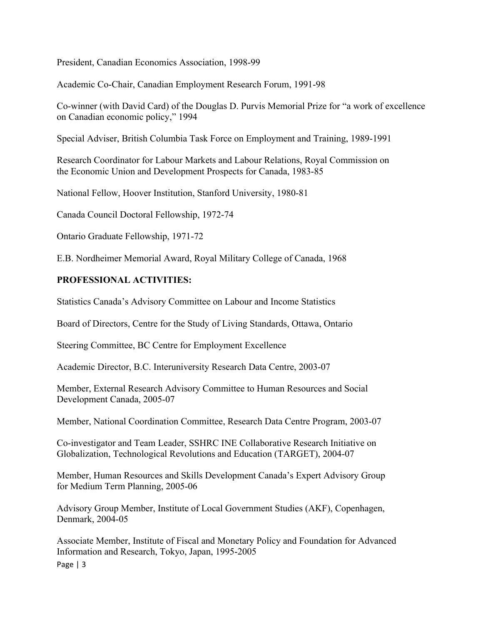President, Canadian Economics Association, 1998-99

Academic Co-Chair, Canadian Employment Research Forum, 1991-98

Co-winner (with David Card) of the Douglas D. Purvis Memorial Prize for "a work of excellence on Canadian economic policy," 1994

Special Adviser, British Columbia Task Force on Employment and Training, 1989-1991

Research Coordinator for Labour Markets and Labour Relations, Royal Commission on the Economic Union and Development Prospects for Canada, 1983-85

National Fellow, Hoover Institution, Stanford University, 1980-81

Canada Council Doctoral Fellowship, 1972-74

Ontario Graduate Fellowship, 1971-72

E.B. Nordheimer Memorial Award, Royal Military College of Canada, 1968

### **PROFESSIONAL ACTIVITIES:**

Statistics Canada's Advisory Committee on Labour and Income Statistics

Board of Directors, Centre for the Study of Living Standards, Ottawa, Ontario

Steering Committee, BC Centre for Employment Excellence

Academic Director, B.C. Interuniversity Research Data Centre, 2003-07

Member, External Research Advisory Committee to Human Resources and Social Development Canada, 2005-07

Member, National Coordination Committee, Research Data Centre Program, 2003-07

Co-investigator and Team Leader, SSHRC INE Collaborative Research Initiative on Globalization, Technological Revolutions and Education (TARGET), 2004-07

Member, Human Resources and Skills Development Canada's Expert Advisory Group for Medium Term Planning, 2005-06

Advisory Group Member, Institute of Local Government Studies (AKF), Copenhagen, Denmark, 2004-05

Page  $| 3$ Associate Member, Institute of Fiscal and Monetary Policy and Foundation for Advanced Information and Research, Tokyo, Japan, 1995-2005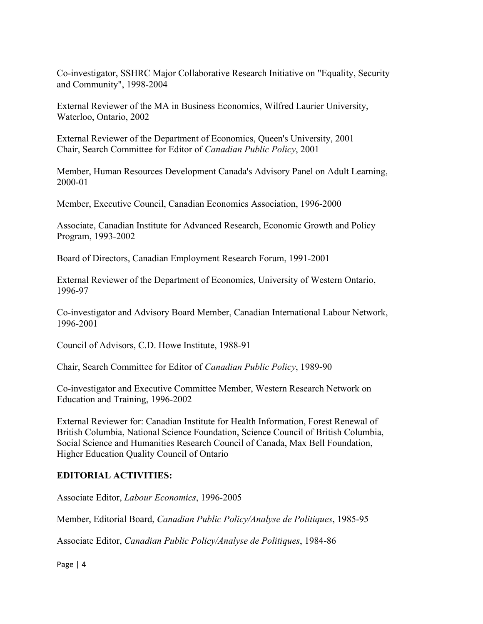Co-investigator, SSHRC Major Collaborative Research Initiative on "Equality, Security and Community", 1998-2004

External Reviewer of the MA in Business Economics, Wilfred Laurier University, Waterloo, Ontario, 2002

External Reviewer of the Department of Economics, Queen's University, 2001 Chair, Search Committee for Editor of *Canadian Public Policy*, 2001

Member, Human Resources Development Canada's Advisory Panel on Adult Learning, 2000-01

Member, Executive Council, Canadian Economics Association, 1996-2000

Associate, Canadian Institute for Advanced Research, Economic Growth and Policy Program, 1993-2002

Board of Directors, Canadian Employment Research Forum, 1991-2001

External Reviewer of the Department of Economics, University of Western Ontario, 1996-97

Co-investigator and Advisory Board Member, Canadian International Labour Network, 1996-2001

Council of Advisors, C.D. Howe Institute, 1988-91

Chair, Search Committee for Editor of *Canadian Public Policy*, 1989-90

Co-investigator and Executive Committee Member, Western Research Network on Education and Training, 1996-2002

External Reviewer for: Canadian Institute for Health Information, Forest Renewal of British Columbia, National Science Foundation, Science Council of British Columbia, Social Science and Humanities Research Council of Canada, Max Bell Foundation, Higher Education Quality Council of Ontario

### **EDITORIAL ACTIVITIES:**

Associate Editor, *Labour Economics*, 1996-2005

Member, Editorial Board, *Canadian Public Policy/Analyse de Politiques*, 1985-95

Associate Editor, *Canadian Public Policy/Analyse de Politiques*, 1984-86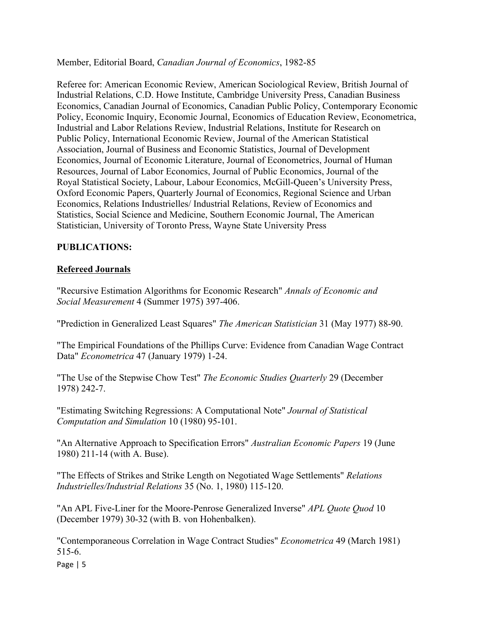Member, Editorial Board, *Canadian Journal of Economics*, 1982-85

Referee for: American Economic Review, American Sociological Review, British Journal of Industrial Relations, C.D. Howe Institute, Cambridge University Press, Canadian Business Economics, Canadian Journal of Economics, Canadian Public Policy, Contemporary Economic Policy, Economic Inquiry, Economic Journal, Economics of Education Review, Econometrica, Industrial and Labor Relations Review, Industrial Relations, Institute for Research on Public Policy, International Economic Review, Journal of the American Statistical Association, Journal of Business and Economic Statistics, Journal of Development Economics, Journal of Economic Literature, Journal of Econometrics, Journal of Human Resources, Journal of Labor Economics, Journal of Public Economics, Journal of the Royal Statistical Society, Labour, Labour Economics, McGill-Queen's University Press, Oxford Economic Papers, Quarterly Journal of Economics, Regional Science and Urban Economics, Relations Industrielles/ Industrial Relations, Review of Economics and Statistics, Social Science and Medicine, Southern Economic Journal, The American Statistician, University of Toronto Press, Wayne State University Press

# **PUBLICATIONS:**

# **Refereed Journals**

"Recursive Estimation Algorithms for Economic Research" *Annals of Economic and Social Measurement* 4 (Summer 1975) 397-406.

"Prediction in Generalized Least Squares" *The American Statistician* 31 (May 1977) 88-90.

"The Empirical Foundations of the Phillips Curve: Evidence from Canadian Wage Contract Data" *Econometrica* 47 (January 1979) 1-24.

"The Use of the Stepwise Chow Test" *The Economic Studies Quarterly* 29 (December 1978) 242-7.

"Estimating Switching Regressions: A Computational Note" *Journal of Statistical Computation and Simulation* 10 (1980) 95-101.

"An Alternative Approach to Specification Errors" *Australian Economic Papers* 19 (June 1980) 211-14 (with A. Buse).

"The Effects of Strikes and Strike Length on Negotiated Wage Settlements" *Relations Industrielles/Industrial Relations* 35 (No. 1, 1980) 115-120.

"An APL Five-Liner for the Moore-Penrose Generalized Inverse" *APL Quote Quod* 10 (December 1979) 30-32 (with B. von Hohenbalken).

"Contemporaneous Correlation in Wage Contract Studies" *Econometrica* 49 (March 1981) 515-6.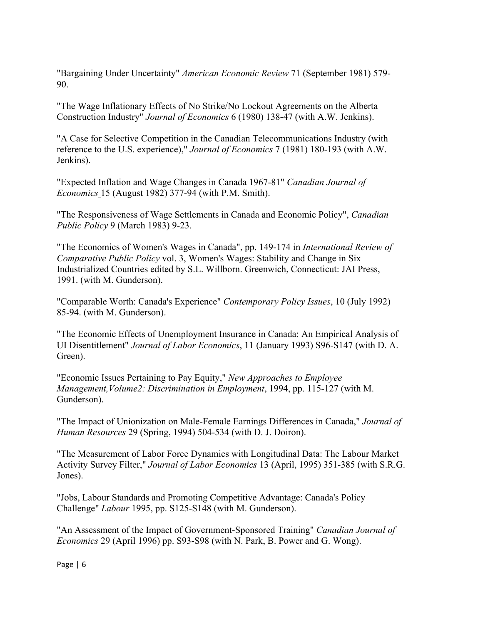"Bargaining Under Uncertainty" *American Economic Review* 71 (September 1981) 579- 90.

"The Wage Inflationary Effects of No Strike/No Lockout Agreements on the Alberta Construction Industry" *Journal of Economics* 6 (1980) 138-47 (with A.W. Jenkins).

"A Case for Selective Competition in the Canadian Telecommunications Industry (with reference to the U.S. experience)," *Journal of Economics* 7 (1981) 180-193 (with A.W. Jenkins).

"Expected Inflation and Wage Changes in Canada 1967-81" *Canadian Journal of Economics* 15 (August 1982) 377-94 (with P.M. Smith).

"The Responsiveness of Wage Settlements in Canada and Economic Policy", *Canadian Public Policy* 9 (March 1983) 9-23.

"The Economics of Women's Wages in Canada", pp. 149-174 in *International Review of Comparative Public Policy* vol. 3, Women's Wages: Stability and Change in Six Industrialized Countries edited by S.L. Willborn. Greenwich, Connecticut: JAI Press, 1991. (with M. Gunderson).

"Comparable Worth: Canada's Experience" *Contemporary Policy Issues*, 10 (July 1992) 85-94. (with M. Gunderson).

"The Economic Effects of Unemployment Insurance in Canada: An Empirical Analysis of UI Disentitlement" *Journal of Labor Economics*, 11 (January 1993) S96-S147 (with D. A. Green).

"Economic Issues Pertaining to Pay Equity," *New Approaches to Employee Management,Volume2: Discrimination in Employment*, 1994, pp. 115-127 (with M. Gunderson).

"The Impact of Unionization on Male-Female Earnings Differences in Canada," *Journal of Human Resources* 29 (Spring, 1994) 504-534 (with D. J. Doiron).

"The Measurement of Labor Force Dynamics with Longitudinal Data: The Labour Market Activity Survey Filter," *Journal of Labor Economics* 13 (April, 1995) 351-385 (with S.R.G. Jones).

"Jobs, Labour Standards and Promoting Competitive Advantage: Canada's Policy Challenge" *Labour* 1995, pp. S125-S148 (with M. Gunderson).

"An Assessment of the Impact of Government-Sponsored Training" *Canadian Journal of Economics* 29 (April 1996) pp. S93-S98 (with N. Park, B. Power and G. Wong).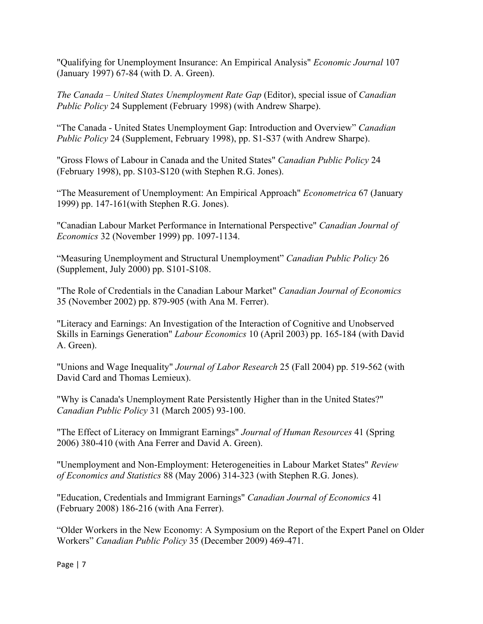"Qualifying for Unemployment Insurance: An Empirical Analysis" *Economic Journal* 107 (January 1997) 67-84 (with D. A. Green).

*The Canada – United States Unemployment Rate Gap* (Editor), special issue of *Canadian Public Policy* 24 Supplement (February 1998) (with Andrew Sharpe).

"The Canada - United States Unemployment Gap: Introduction and Overview" *Canadian Public Policy* 24 (Supplement, February 1998), pp. S1-S37 (with Andrew Sharpe).

"Gross Flows of Labour in Canada and the United States" *Canadian Public Policy* 24 (February 1998), pp. S103-S120 (with Stephen R.G. Jones).

"The Measurement of Unemployment: An Empirical Approach" *Econometrica* 67 (January 1999) pp. 147-161(with Stephen R.G. Jones).

"Canadian Labour Market Performance in International Perspective" *Canadian Journal of Economics* 32 (November 1999) pp. 1097-1134.

"Measuring Unemployment and Structural Unemployment" *Canadian Public Policy* 26 (Supplement, July 2000) pp. S101-S108.

"The Role of Credentials in the Canadian Labour Market" *Canadian Journal of Economics* 35 (November 2002) pp. 879-905 (with Ana M. Ferrer).

"Literacy and Earnings: An Investigation of the Interaction of Cognitive and Unobserved Skills in Earnings Generation" *Labour Economics* 10 (April 2003) pp. 165-184 (with David A. Green).

"Unions and Wage Inequality" *Journal of Labor Research* 25 (Fall 2004) pp. 519-562 (with David Card and Thomas Lemieux).

"Why is Canada's Unemployment Rate Persistently Higher than in the United States?" *Canadian Public Policy* 31 (March 2005) 93-100.

"The Effect of Literacy on Immigrant Earnings" *Journal of Human Resources* 41 (Spring 2006) 380-410 (with Ana Ferrer and David A. Green).

"Unemployment and Non-Employment: Heterogeneities in Labour Market States" *Review of Economics and Statistics* 88 (May 2006) 314-323 (with Stephen R.G. Jones).

"Education, Credentials and Immigrant Earnings" *Canadian Journal of Economics* 41 (February 2008) 186-216 (with Ana Ferrer).

"Older Workers in the New Economy: A Symposium on the Report of the Expert Panel on Older Workers" *Canadian Public Policy* 35 (December 2009) 469-471.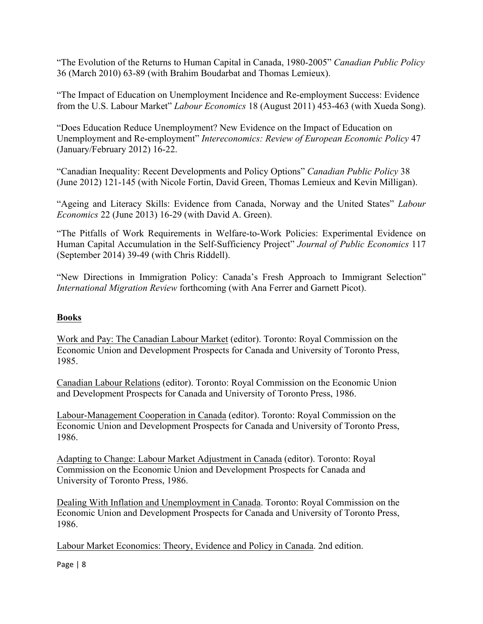"The Evolution of the Returns to Human Capital in Canada, 1980-2005" *Canadian Public Policy* 36 (March 2010) 63-89 (with Brahim Boudarbat and Thomas Lemieux).

"The Impact of Education on Unemployment Incidence and Re-employment Success: Evidence from the U.S. Labour Market" *Labour Economics* 18 (August 2011) 453-463 (with Xueda Song).

"Does Education Reduce Unemployment? New Evidence on the Impact of Education on Unemployment and Re-employment" *Intereconomics: Review of European Economic Policy* 47 (January/February 2012) 16-22.

"Canadian Inequality: Recent Developments and Policy Options" *Canadian Public Policy* 38 (June 2012) 121-145 (with Nicole Fortin, David Green, Thomas Lemieux and Kevin Milligan).

"Ageing and Literacy Skills: Evidence from Canada, Norway and the United States" *Labour Economics* 22 (June 2013) 16-29 (with David A. Green).

"The Pitfalls of Work Requirements in Welfare-to-Work Policies: Experimental Evidence on Human Capital Accumulation in the Self-Sufficiency Project" *Journal of Public Economics* 117 (September 2014) 39-49 (with Chris Riddell).

"New Directions in Immigration Policy: Canada's Fresh Approach to Immigrant Selection" *International Migration Review* forthcoming (with Ana Ferrer and Garnett Picot).

# **Books**

Work and Pay: The Canadian Labour Market (editor). Toronto: Royal Commission on the Economic Union and Development Prospects for Canada and University of Toronto Press, 1985.

Canadian Labour Relations (editor). Toronto: Royal Commission on the Economic Union and Development Prospects for Canada and University of Toronto Press, 1986.

Labour-Management Cooperation in Canada (editor). Toronto: Royal Commission on the Economic Union and Development Prospects for Canada and University of Toronto Press, 1986.

Adapting to Change: Labour Market Adjustment in Canada (editor). Toronto: Royal Commission on the Economic Union and Development Prospects for Canada and University of Toronto Press, 1986.

Dealing With Inflation and Unemployment in Canada. Toronto: Royal Commission on the Economic Union and Development Prospects for Canada and University of Toronto Press, 1986.

Labour Market Economics: Theory, Evidence and Policy in Canada. 2nd edition.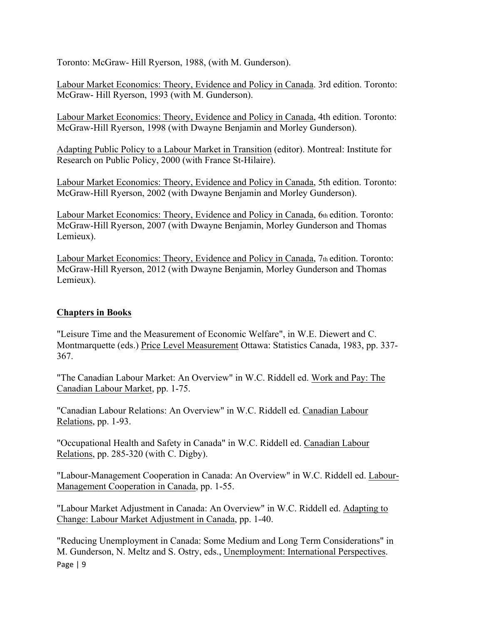Toronto: McGraw- Hill Ryerson, 1988, (with M. Gunderson).

Labour Market Economics: Theory, Evidence and Policy in Canada. 3rd edition. Toronto: McGraw- Hill Ryerson, 1993 (with M. Gunderson).

Labour Market Economics: Theory, Evidence and Policy in Canada, 4th edition. Toronto: McGraw-Hill Ryerson, 1998 (with Dwayne Benjamin and Morley Gunderson).

Adapting Public Policy to a Labour Market in Transition (editor). Montreal: Institute for Research on Public Policy, 2000 (with France St-Hilaire).

Labour Market Economics: Theory, Evidence and Policy in Canada, 5th edition. Toronto: McGraw-Hill Ryerson, 2002 (with Dwayne Benjamin and Morley Gunderson).

Labour Market Economics: Theory, Evidence and Policy in Canada, 6th edition. Toronto: McGraw-Hill Ryerson, 2007 (with Dwayne Benjamin, Morley Gunderson and Thomas Lemieux).

Labour Market Economics: Theory, Evidence and Policy in Canada, 7th edition. Toronto: McGraw-Hill Ryerson, 2012 (with Dwayne Benjamin, Morley Gunderson and Thomas Lemieux).

# **Chapters in Books**

"Leisure Time and the Measurement of Economic Welfare", in W.E. Diewert and C. Montmarquette (eds.) Price Level Measurement Ottawa: Statistics Canada, 1983, pp. 337- 367.

"The Canadian Labour Market: An Overview" in W.C. Riddell ed. Work and Pay: The Canadian Labour Market, pp. 1-75.

"Canadian Labour Relations: An Overview" in W.C. Riddell ed. Canadian Labour Relations, pp. 1-93.

"Occupational Health and Safety in Canada" in W.C. Riddell ed. Canadian Labour Relations, pp. 285-320 (with C. Digby).

"Labour-Management Cooperation in Canada: An Overview" in W.C. Riddell ed. Labour-Management Cooperation in Canada, pp. 1-55.

"Labour Market Adjustment in Canada: An Overview" in W.C. Riddell ed. Adapting to Change: Labour Market Adjustment in Canada, pp. 1-40.

Page | 9 "Reducing Unemployment in Canada: Some Medium and Long Term Considerations" in M. Gunderson, N. Meltz and S. Ostry, eds., Unemployment: International Perspectives.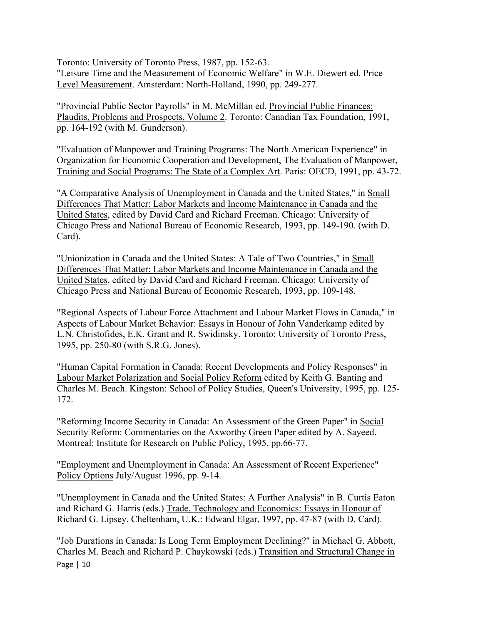Toronto: University of Toronto Press, 1987, pp. 152-63. "Leisure Time and the Measurement of Economic Welfare" in W.E. Diewert ed. Price Level Measurement. Amsterdam: North-Holland, 1990, pp. 249-277.

"Provincial Public Sector Payrolls" in M. McMillan ed. Provincial Public Finances: Plaudits, Problems and Prospects, Volume 2. Toronto: Canadian Tax Foundation, 1991, pp. 164-192 (with M. Gunderson).

"Evaluation of Manpower and Training Programs: The North American Experience" in Organization for Economic Cooperation and Development, The Evaluation of Manpower, Training and Social Programs: The State of a Complex Art. Paris: OECD, 1991, pp. 43-72.

"A Comparative Analysis of Unemployment in Canada and the United States," in Small Differences That Matter: Labor Markets and Income Maintenance in Canada and the United States, edited by David Card and Richard Freeman. Chicago: University of Chicago Press and National Bureau of Economic Research, 1993, pp. 149-190. (with D. Card).

"Unionization in Canada and the United States: A Tale of Two Countries," in Small Differences That Matter: Labor Markets and Income Maintenance in Canada and the United States, edited by David Card and Richard Freeman. Chicago: University of Chicago Press and National Bureau of Economic Research, 1993, pp. 109-148.

"Regional Aspects of Labour Force Attachment and Labour Market Flows in Canada," in Aspects of Labour Market Behavior: Essays in Honour of John Vanderkamp edited by L.N. Christofides, E.K. Grant and R. Swidinsky. Toronto: University of Toronto Press, 1995, pp. 250-80 (with S.R.G. Jones).

"Human Capital Formation in Canada: Recent Developments and Policy Responses" in Labour Market Polarization and Social Policy Reform edited by Keith G. Banting and Charles M. Beach. Kingston: School of Policy Studies, Queen's University, 1995, pp. 125- 172.

"Reforming Income Security in Canada: An Assessment of the Green Paper" in Social Security Reform: Commentaries on the Axworthy Green Paper edited by A. Sayeed. Montreal: Institute for Research on Public Policy, 1995, pp.66-77.

"Employment and Unemployment in Canada: An Assessment of Recent Experience" Policy Options July/August 1996, pp. 9-14.

"Unemployment in Canada and the United States: A Further Analysis" in B. Curtis Eaton and Richard G. Harris (eds.) Trade, Technology and Economics: Essays in Honour of Richard G. Lipsey. Cheltenham, U.K.: Edward Elgar, 1997, pp. 47-87 (with D. Card).

Page | 10 "Job Durations in Canada: Is Long Term Employment Declining?" in Michael G. Abbott, Charles M. Beach and Richard P. Chaykowski (eds.) Transition and Structural Change in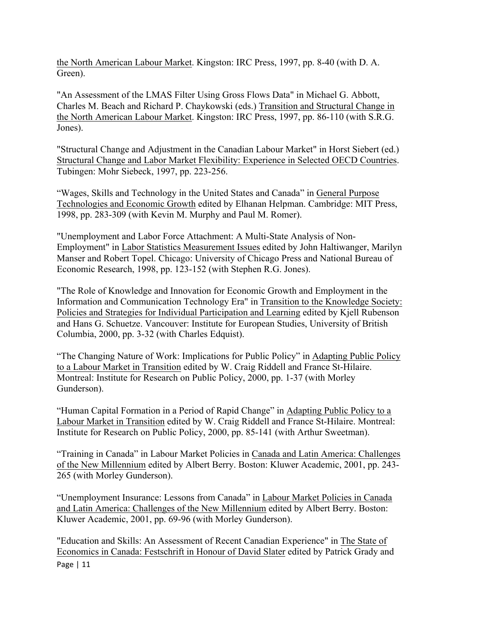the North American Labour Market. Kingston: IRC Press, 1997, pp. 8-40 (with D. A. Green).

"An Assessment of the LMAS Filter Using Gross Flows Data" in Michael G. Abbott, Charles M. Beach and Richard P. Chaykowski (eds.) Transition and Structural Change in the North American Labour Market. Kingston: IRC Press, 1997, pp. 86-110 (with S.R.G. Jones).

"Structural Change and Adjustment in the Canadian Labour Market" in Horst Siebert (ed.) Structural Change and Labor Market Flexibility: Experience in Selected OECD Countries. Tubingen: Mohr Siebeck, 1997, pp. 223-256.

"Wages, Skills and Technology in the United States and Canada" in General Purpose Technologies and Economic Growth edited by Elhanan Helpman. Cambridge: MIT Press, 1998, pp. 283-309 (with Kevin M. Murphy and Paul M. Romer).

"Unemployment and Labor Force Attachment: A Multi-State Analysis of Non-Employment" in Labor Statistics Measurement Issues edited by John Haltiwanger, Marilyn Manser and Robert Topel. Chicago: University of Chicago Press and National Bureau of Economic Research, 1998, pp. 123-152 (with Stephen R.G. Jones).

"The Role of Knowledge and Innovation for Economic Growth and Employment in the Information and Communication Technology Era" in Transition to the Knowledge Society: Policies and Strategies for Individual Participation and Learning edited by Kjell Rubenson and Hans G. Schuetze. Vancouver: Institute for European Studies, University of British Columbia, 2000, pp. 3-32 (with Charles Edquist).

"The Changing Nature of Work: Implications for Public Policy" in Adapting Public Policy to a Labour Market in Transition edited by W. Craig Riddell and France St-Hilaire. Montreal: Institute for Research on Public Policy, 2000, pp. 1-37 (with Morley Gunderson).

"Human Capital Formation in a Period of Rapid Change" in Adapting Public Policy to a Labour Market in Transition edited by W. Craig Riddell and France St-Hilaire. Montreal: Institute for Research on Public Policy, 2000, pp. 85-141 (with Arthur Sweetman).

"Training in Canada" in Labour Market Policies in Canada and Latin America: Challenges of the New Millennium edited by Albert Berry. Boston: Kluwer Academic, 2001, pp. 243- 265 (with Morley Gunderson).

"Unemployment Insurance: Lessons from Canada" in Labour Market Policies in Canada and Latin America: Challenges of the New Millennium edited by Albert Berry. Boston: Kluwer Academic, 2001, pp. 69-96 (with Morley Gunderson).

Page | 11 "Education and Skills: An Assessment of Recent Canadian Experience" in The State of Economics in Canada: Festschrift in Honour of David Slater edited by Patrick Grady and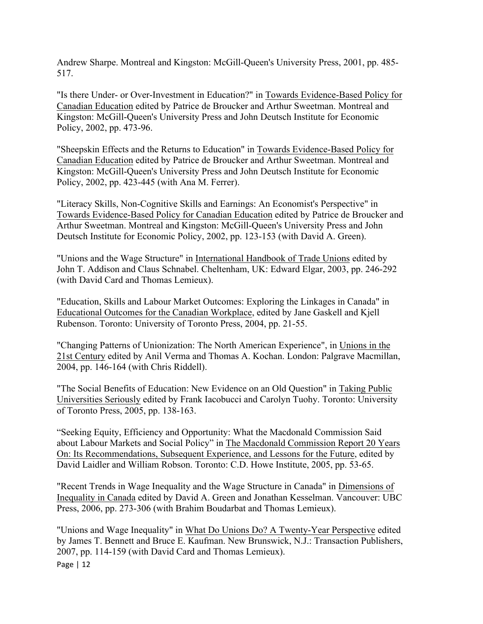Andrew Sharpe. Montreal and Kingston: McGill-Queen's University Press, 2001, pp. 485- 517.

"Is there Under- or Over-Investment in Education?" in Towards Evidence-Based Policy for Canadian Education edited by Patrice de Broucker and Arthur Sweetman. Montreal and Kingston: McGill-Queen's University Press and John Deutsch Institute for Economic Policy, 2002, pp. 473-96.

"Sheepskin Effects and the Returns to Education" in Towards Evidence-Based Policy for Canadian Education edited by Patrice de Broucker and Arthur Sweetman. Montreal and Kingston: McGill-Queen's University Press and John Deutsch Institute for Economic Policy, 2002, pp. 423-445 (with Ana M. Ferrer).

"Literacy Skills, Non-Cognitive Skills and Earnings: An Economist's Perspective" in Towards Evidence-Based Policy for Canadian Education edited by Patrice de Broucker and Arthur Sweetman. Montreal and Kingston: McGill-Queen's University Press and John Deutsch Institute for Economic Policy, 2002, pp. 123-153 (with David A. Green).

"Unions and the Wage Structure" in International Handbook of Trade Unions edited by John T. Addison and Claus Schnabel. Cheltenham, UK: Edward Elgar, 2003, pp. 246-292 (with David Card and Thomas Lemieux).

"Education, Skills and Labour Market Outcomes: Exploring the Linkages in Canada" in Educational Outcomes for the Canadian Workplace, edited by Jane Gaskell and Kjell Rubenson. Toronto: University of Toronto Press, 2004, pp. 21-55.

"Changing Patterns of Unionization: The North American Experience", in Unions in the 21st Century edited by Anil Verma and Thomas A. Kochan. London: Palgrave Macmillan, 2004, pp. 146-164 (with Chris Riddell).

"The Social Benefits of Education: New Evidence on an Old Question" in Taking Public Universities Seriously edited by Frank Iacobucci and Carolyn Tuohy. Toronto: University of Toronto Press, 2005, pp. 138-163.

"Seeking Equity, Efficiency and Opportunity: What the Macdonald Commission Said about Labour Markets and Social Policy" in The Macdonald Commission Report 20 Years On: Its Recommendations, Subsequent Experience, and Lessons for the Future, edited by David Laidler and William Robson. Toronto: C.D. Howe Institute, 2005, pp. 53-65.

"Recent Trends in Wage Inequality and the Wage Structure in Canada" in Dimensions of Inequality in Canada edited by David A. Green and Jonathan Kesselman. Vancouver: UBC Press, 2006, pp. 273-306 (with Brahim Boudarbat and Thomas Lemieux).

Page | 12 "Unions and Wage Inequality" in What Do Unions Do? A Twenty-Year Perspective edited by James T. Bennett and Bruce E. Kaufman. New Brunswick, N.J.: Transaction Publishers, 2007, pp. 114-159 (with David Card and Thomas Lemieux).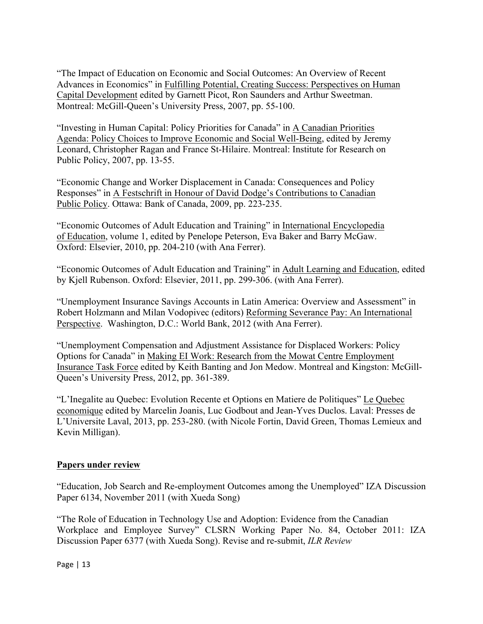"The Impact of Education on Economic and Social Outcomes: An Overview of Recent Advances in Economics" in Fulfilling Potential, Creating Success: Perspectives on Human Capital Development edited by Garnett Picot, Ron Saunders and Arthur Sweetman. Montreal: McGill-Queen's University Press, 2007, pp. 55-100.

"Investing in Human Capital: Policy Priorities for Canada" in A Canadian Priorities Agenda: Policy Choices to Improve Economic and Social Well-Being, edited by Jeremy Leonard, Christopher Ragan and France St-Hilaire. Montreal: Institute for Research on Public Policy, 2007, pp. 13-55.

"Economic Change and Worker Displacement in Canada: Consequences and Policy Responses" in A Festschrift in Honour of David Dodge's Contributions to Canadian Public Policy. Ottawa: Bank of Canada, 2009, pp. 223-235.

"Economic Outcomes of Adult Education and Training" in International Encyclopedia of Education, volume 1, edited by Penelope Peterson, Eva Baker and Barry McGaw. Oxford: Elsevier, 2010, pp. 204-210 (with Ana Ferrer).

"Economic Outcomes of Adult Education and Training" in Adult Learning and Education, edited by Kjell Rubenson. Oxford: Elsevier, 2011, pp. 299-306. (with Ana Ferrer).

"Unemployment Insurance Savings Accounts in Latin America: Overview and Assessment" in Robert Holzmann and Milan Vodopivec (editors) Reforming Severance Pay: An International Perspective. Washington, D.C.: World Bank, 2012 (with Ana Ferrer).

"Unemployment Compensation and Adjustment Assistance for Displaced Workers: Policy Options for Canada" in Making EI Work: Research from the Mowat Centre Employment Insurance Task Force edited by Keith Banting and Jon Medow. Montreal and Kingston: McGill-Queen's University Press, 2012, pp. 361-389.

"L'Inegalite au Quebec: Evolution Recente et Options en Matiere de Politiques" Le Quebec economique edited by Marcelin Joanis, Luc Godbout and Jean-Yves Duclos. Laval: Presses de L'Universite Laval, 2013, pp. 253-280. (with Nicole Fortin, David Green, Thomas Lemieux and Kevin Milligan).

# **Papers under review**

"Education, Job Search and Re-employment Outcomes among the Unemployed" IZA Discussion Paper 6134, November 2011 (with Xueda Song)

"The Role of Education in Technology Use and Adoption: Evidence from the Canadian Workplace and Employee Survey" CLSRN Working Paper No. 84, October 2011: IZA Discussion Paper 6377 (with Xueda Song). Revise and re-submit, *ILR Review*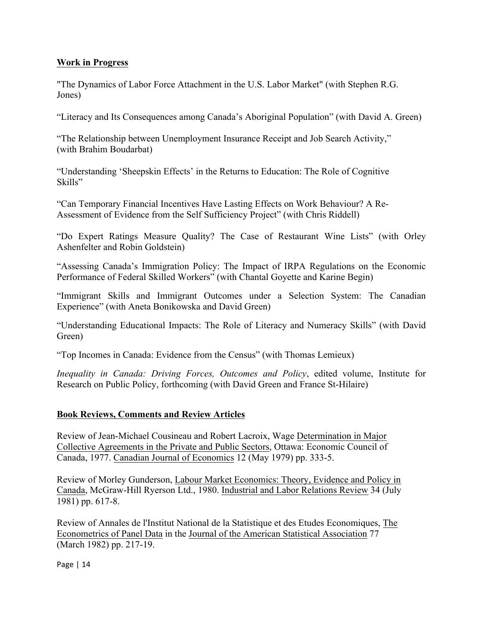# **Work in Progress**

"The Dynamics of Labor Force Attachment in the U.S. Labor Market" (with Stephen R.G. Jones)

"Literacy and Its Consequences among Canada's Aboriginal Population" (with David A. Green)

"The Relationship between Unemployment Insurance Receipt and Job Search Activity," (with Brahim Boudarbat)

"Understanding 'Sheepskin Effects' in the Returns to Education: The Role of Cognitive Skills"

"Can Temporary Financial Incentives Have Lasting Effects on Work Behaviour? A Re-Assessment of Evidence from the Self Sufficiency Project" (with Chris Riddell)

"Do Expert Ratings Measure Quality? The Case of Restaurant Wine Lists" (with Orley Ashenfelter and Robin Goldstein)

"Assessing Canada's Immigration Policy: The Impact of IRPA Regulations on the Economic Performance of Federal Skilled Workers" (with Chantal Goyette and Karine Begin)

"Immigrant Skills and Immigrant Outcomes under a Selection System: The Canadian Experience" (with Aneta Bonikowska and David Green)

"Understanding Educational Impacts: The Role of Literacy and Numeracy Skills" (with David Green)

"Top Incomes in Canada: Evidence from the Census" (with Thomas Lemieux)

*Inequality in Canada: Driving Forces, Outcomes and Policy*, edited volume, Institute for Research on Public Policy, forthcoming (with David Green and France St-Hilaire)

# **Book Reviews, Comments and Review Articles**

Review of Jean-Michael Cousineau and Robert Lacroix, Wage Determination in Major Collective Agreements in the Private and Public Sectors, Ottawa: Economic Council of Canada, 1977. Canadian Journal of Economics 12 (May 1979) pp. 333-5.

Review of Morley Gunderson, Labour Market Economics: Theory, Evidence and Policy in Canada, McGraw-Hill Ryerson Ltd., 1980. Industrial and Labor Relations Review 34 (July 1981) pp. 617-8.

Review of Annales de l'Institut National de la Statistique et des Etudes Economiques, The Econometrics of Panel Data in the Journal of the American Statistical Association 77 (March 1982) pp. 217-19.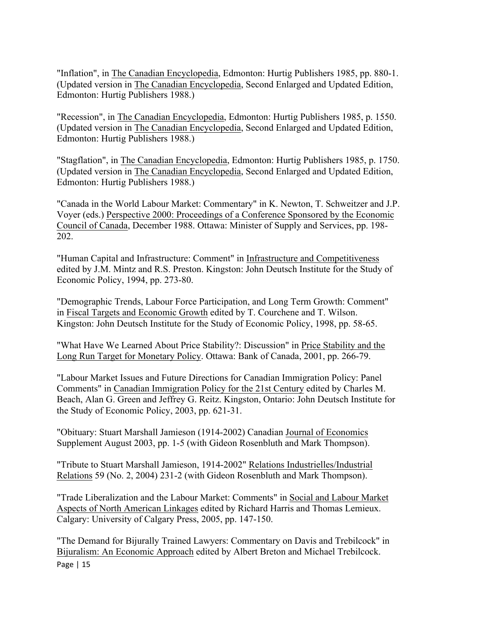"Inflation", in The Canadian Encyclopedia, Edmonton: Hurtig Publishers 1985, pp. 880-1. (Updated version in The Canadian Encyclopedia, Second Enlarged and Updated Edition, Edmonton: Hurtig Publishers 1988.)

"Recession", in The Canadian Encyclopedia, Edmonton: Hurtig Publishers 1985, p. 1550. (Updated version in The Canadian Encyclopedia, Second Enlarged and Updated Edition, Edmonton: Hurtig Publishers 1988.)

"Stagflation", in The Canadian Encyclopedia, Edmonton: Hurtig Publishers 1985, p. 1750. (Updated version in The Canadian Encyclopedia, Second Enlarged and Updated Edition, Edmonton: Hurtig Publishers 1988.)

"Canada in the World Labour Market: Commentary" in K. Newton, T. Schweitzer and J.P. Voyer (eds.) Perspective 2000: Proceedings of a Conference Sponsored by the Economic Council of Canada, December 1988. Ottawa: Minister of Supply and Services, pp. 198- 202.

"Human Capital and Infrastructure: Comment" in Infrastructure and Competitiveness edited by J.M. Mintz and R.S. Preston. Kingston: John Deutsch Institute for the Study of Economic Policy, 1994, pp. 273-80.

"Demographic Trends, Labour Force Participation, and Long Term Growth: Comment" in Fiscal Targets and Economic Growth edited by T. Courchene and T. Wilson. Kingston: John Deutsch Institute for the Study of Economic Policy, 1998, pp. 58-65.

"What Have We Learned About Price Stability?: Discussion" in Price Stability and the Long Run Target for Monetary Policy. Ottawa: Bank of Canada, 2001, pp. 266-79.

"Labour Market Issues and Future Directions for Canadian Immigration Policy: Panel Comments" in Canadian Immigration Policy for the 21st Century edited by Charles M. Beach, Alan G. Green and Jeffrey G. Reitz. Kingston, Ontario: John Deutsch Institute for the Study of Economic Policy, 2003, pp. 621-31.

"Obituary: Stuart Marshall Jamieson (1914-2002) Canadian Journal of Economics Supplement August 2003, pp. 1-5 (with Gideon Rosenbluth and Mark Thompson).

"Tribute to Stuart Marshall Jamieson, 1914-2002" Relations Industrielles/Industrial Relations 59 (No. 2, 2004) 231-2 (with Gideon Rosenbluth and Mark Thompson).

"Trade Liberalization and the Labour Market: Comments" in Social and Labour Market Aspects of North American Linkages edited by Richard Harris and Thomas Lemieux. Calgary: University of Calgary Press, 2005, pp. 147-150.

Page | 15 "The Demand for Bijurally Trained Lawyers: Commentary on Davis and Trebilcock" in Bijuralism: An Economic Approach edited by Albert Breton and Michael Trebilcock.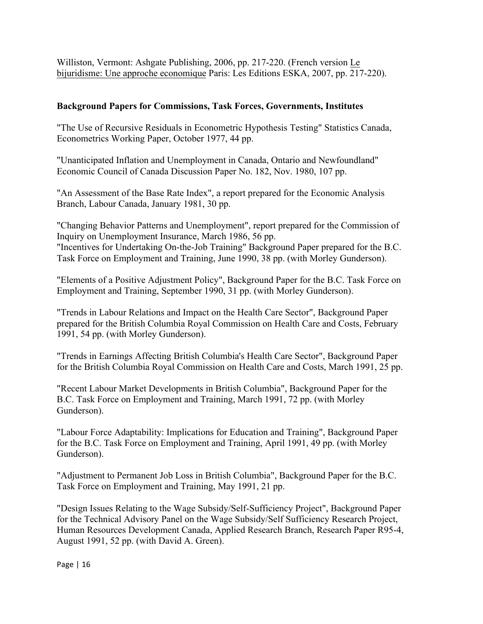Williston, Vermont: Ashgate Publishing, 2006, pp. 217-220. (French version Le bijuridisme: Une approche economique Paris: Les Editions ESKA, 2007, pp. 217-220).

## **Background Papers for Commissions, Task Forces, Governments, Institutes**

"The Use of Recursive Residuals in Econometric Hypothesis Testing" Statistics Canada, Econometrics Working Paper, October 1977, 44 pp.

"Unanticipated Inflation and Unemployment in Canada, Ontario and Newfoundland" Economic Council of Canada Discussion Paper No. 182, Nov. 1980, 107 pp.

"An Assessment of the Base Rate Index", a report prepared for the Economic Analysis Branch, Labour Canada, January 1981, 30 pp.

"Changing Behavior Patterns and Unemployment", report prepared for the Commission of Inquiry on Unemployment Insurance, March 1986, 56 pp.

"Incentives for Undertaking On-the-Job Training" Background Paper prepared for the B.C. Task Force on Employment and Training, June 1990, 38 pp. (with Morley Gunderson).

"Elements of a Positive Adjustment Policy", Background Paper for the B.C. Task Force on Employment and Training, September 1990, 31 pp. (with Morley Gunderson).

"Trends in Labour Relations and Impact on the Health Care Sector", Background Paper prepared for the British Columbia Royal Commission on Health Care and Costs, February 1991, 54 pp. (with Morley Gunderson).

"Trends in Earnings Affecting British Columbia's Health Care Sector", Background Paper for the British Columbia Royal Commission on Health Care and Costs, March 1991, 25 pp.

"Recent Labour Market Developments in British Columbia", Background Paper for the B.C. Task Force on Employment and Training, March 1991, 72 pp. (with Morley Gunderson).

"Labour Force Adaptability: Implications for Education and Training", Background Paper for the B.C. Task Force on Employment and Training, April 1991, 49 pp. (with Morley Gunderson).

"Adjustment to Permanent Job Loss in British Columbia", Background Paper for the B.C. Task Force on Employment and Training, May 1991, 21 pp.

"Design Issues Relating to the Wage Subsidy/Self-Sufficiency Project", Background Paper for the Technical Advisory Panel on the Wage Subsidy/Self Sufficiency Research Project, Human Resources Development Canada, Applied Research Branch, Research Paper R95-4, August 1991, 52 pp. (with David A. Green).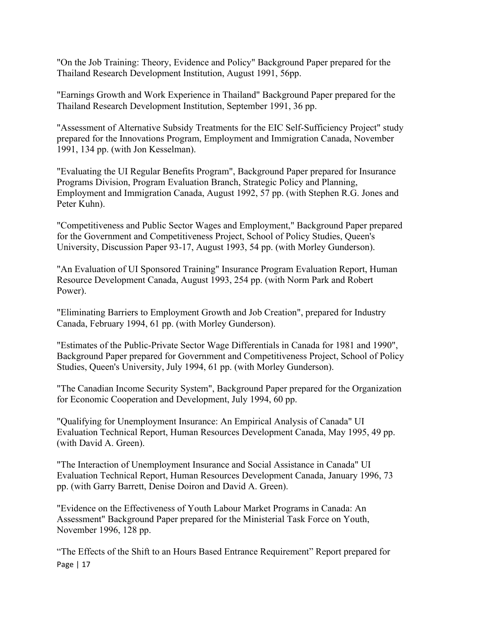"On the Job Training: Theory, Evidence and Policy" Background Paper prepared for the Thailand Research Development Institution, August 1991, 56pp.

"Earnings Growth and Work Experience in Thailand" Background Paper prepared for the Thailand Research Development Institution, September 1991, 36 pp.

"Assessment of Alternative Subsidy Treatments for the EIC Self-Sufficiency Project" study prepared for the Innovations Program, Employment and Immigration Canada, November 1991, 134 pp. (with Jon Kesselman).

"Evaluating the UI Regular Benefits Program", Background Paper prepared for Insurance Programs Division, Program Evaluation Branch, Strategic Policy and Planning, Employment and Immigration Canada, August 1992, 57 pp. (with Stephen R.G. Jones and Peter Kuhn).

"Competitiveness and Public Sector Wages and Employment," Background Paper prepared for the Government and Competitiveness Project, School of Policy Studies, Queen's University, Discussion Paper 93-17, August 1993, 54 pp. (with Morley Gunderson).

"An Evaluation of UI Sponsored Training" Insurance Program Evaluation Report, Human Resource Development Canada, August 1993, 254 pp. (with Norm Park and Robert Power).

"Eliminating Barriers to Employment Growth and Job Creation", prepared for Industry Canada, February 1994, 61 pp. (with Morley Gunderson).

"Estimates of the Public-Private Sector Wage Differentials in Canada for 1981 and 1990", Background Paper prepared for Government and Competitiveness Project, School of Policy Studies, Queen's University, July 1994, 61 pp. (with Morley Gunderson).

"The Canadian Income Security System", Background Paper prepared for the Organization for Economic Cooperation and Development, July 1994, 60 pp.

"Qualifying for Unemployment Insurance: An Empirical Analysis of Canada" UI Evaluation Technical Report, Human Resources Development Canada, May 1995, 49 pp. (with David A. Green).

"The Interaction of Unemployment Insurance and Social Assistance in Canada" UI Evaluation Technical Report, Human Resources Development Canada, January 1996, 73 pp. (with Garry Barrett, Denise Doiron and David A. Green).

"Evidence on the Effectiveness of Youth Labour Market Programs in Canada: An Assessment" Background Paper prepared for the Ministerial Task Force on Youth, November 1996, 128 pp.

Page | 17 "The Effects of the Shift to an Hours Based Entrance Requirement" Report prepared for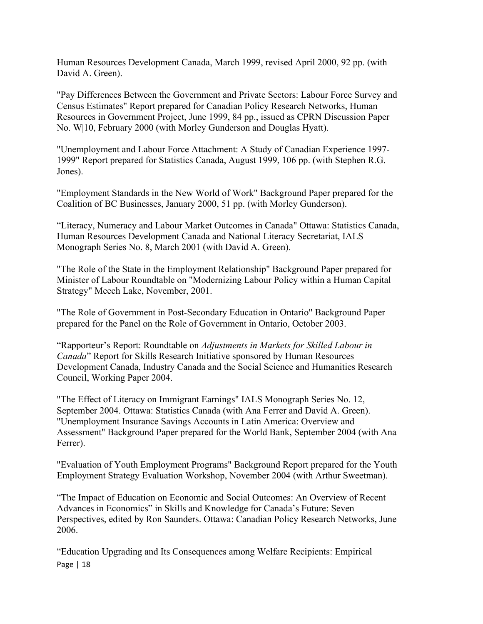Human Resources Development Canada, March 1999, revised April 2000, 92 pp. (with David A. Green).

"Pay Differences Between the Government and Private Sectors: Labour Force Survey and Census Estimates" Report prepared for Canadian Policy Research Networks, Human Resources in Government Project, June 1999, 84 pp., issued as CPRN Discussion Paper No. W|10, February 2000 (with Morley Gunderson and Douglas Hyatt).

"Unemployment and Labour Force Attachment: A Study of Canadian Experience 1997- 1999" Report prepared for Statistics Canada, August 1999, 106 pp. (with Stephen R.G. Jones).

"Employment Standards in the New World of Work" Background Paper prepared for the Coalition of BC Businesses, January 2000, 51 pp. (with Morley Gunderson).

"Literacy, Numeracy and Labour Market Outcomes in Canada" Ottawa: Statistics Canada, Human Resources Development Canada and National Literacy Secretariat, IALS Monograph Series No. 8, March 2001 (with David A. Green).

"The Role of the State in the Employment Relationship" Background Paper prepared for Minister of Labour Roundtable on "Modernizing Labour Policy within a Human Capital Strategy" Meech Lake, November, 2001.

"The Role of Government in Post-Secondary Education in Ontario" Background Paper prepared for the Panel on the Role of Government in Ontario, October 2003.

"Rapporteur's Report: Roundtable on *Adjustments in Markets for Skilled Labour in Canada*" Report for Skills Research Initiative sponsored by Human Resources Development Canada, Industry Canada and the Social Science and Humanities Research Council, Working Paper 2004.

"The Effect of Literacy on Immigrant Earnings" IALS Monograph Series No. 12, September 2004. Ottawa: Statistics Canada (with Ana Ferrer and David A. Green). "Unemployment Insurance Savings Accounts in Latin America: Overview and Assessment" Background Paper prepared for the World Bank, September 2004 (with Ana Ferrer).

"Evaluation of Youth Employment Programs" Background Report prepared for the Youth Employment Strategy Evaluation Workshop, November 2004 (with Arthur Sweetman).

"The Impact of Education on Economic and Social Outcomes: An Overview of Recent Advances in Economics" in Skills and Knowledge for Canada's Future: Seven Perspectives, edited by Ron Saunders. Ottawa: Canadian Policy Research Networks, June 2006.

Page | 18 "Education Upgrading and Its Consequences among Welfare Recipients: Empirical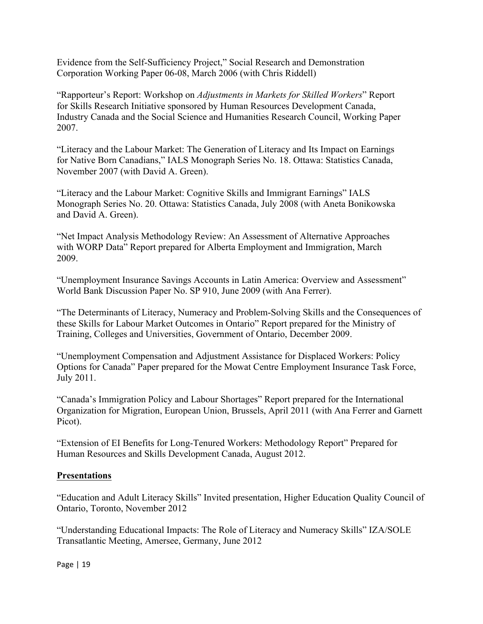Evidence from the Self-Sufficiency Project," Social Research and Demonstration Corporation Working Paper 06-08, March 2006 (with Chris Riddell)

"Rapporteur's Report: Workshop on *Adjustments in Markets for Skilled Workers*" Report for Skills Research Initiative sponsored by Human Resources Development Canada, Industry Canada and the Social Science and Humanities Research Council, Working Paper 2007.

"Literacy and the Labour Market: The Generation of Literacy and Its Impact on Earnings for Native Born Canadians," IALS Monograph Series No. 18. Ottawa: Statistics Canada, November 2007 (with David A. Green).

"Literacy and the Labour Market: Cognitive Skills and Immigrant Earnings" IALS Monograph Series No. 20. Ottawa: Statistics Canada, July 2008 (with Aneta Bonikowska and David A. Green).

"Net Impact Analysis Methodology Review: An Assessment of Alternative Approaches with WORP Data" Report prepared for Alberta Employment and Immigration, March 2009.

"Unemployment Insurance Savings Accounts in Latin America: Overview and Assessment" World Bank Discussion Paper No. SP 910, June 2009 (with Ana Ferrer).

"The Determinants of Literacy, Numeracy and Problem-Solving Skills and the Consequences of these Skills for Labour Market Outcomes in Ontario" Report prepared for the Ministry of Training, Colleges and Universities, Government of Ontario, December 2009.

"Unemployment Compensation and Adjustment Assistance for Displaced Workers: Policy Options for Canada" Paper prepared for the Mowat Centre Employment Insurance Task Force, July 2011.

"Canada's Immigration Policy and Labour Shortages" Report prepared for the International Organization for Migration, European Union, Brussels, April 2011 (with Ana Ferrer and Garnett Picot).

"Extension of EI Benefits for Long-Tenured Workers: Methodology Report" Prepared for Human Resources and Skills Development Canada, August 2012.

# **Presentations**

"Education and Adult Literacy Skills" Invited presentation, Higher Education Quality Council of Ontario, Toronto, November 2012

"Understanding Educational Impacts: The Role of Literacy and Numeracy Skills" IZA/SOLE Transatlantic Meeting, Amersee, Germany, June 2012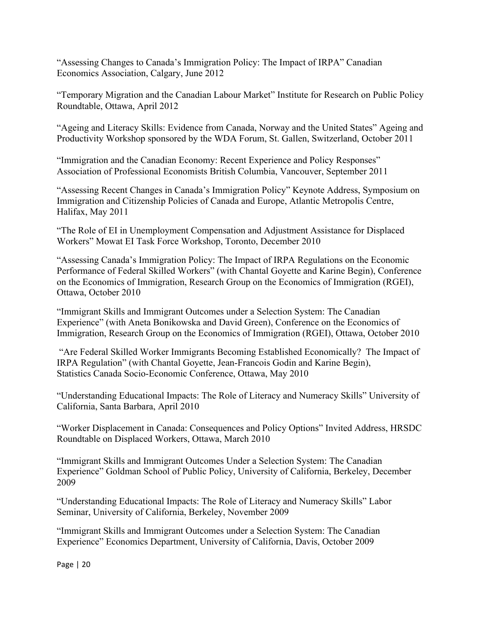"Assessing Changes to Canada's Immigration Policy: The Impact of IRPA" Canadian Economics Association, Calgary, June 2012

"Temporary Migration and the Canadian Labour Market" Institute for Research on Public Policy Roundtable, Ottawa, April 2012

"Ageing and Literacy Skills: Evidence from Canada, Norway and the United States" Ageing and Productivity Workshop sponsored by the WDA Forum, St. Gallen, Switzerland, October 2011

"Immigration and the Canadian Economy: Recent Experience and Policy Responses" Association of Professional Economists British Columbia, Vancouver, September 2011

"Assessing Recent Changes in Canada's Immigration Policy" Keynote Address, Symposium on Immigration and Citizenship Policies of Canada and Europe, Atlantic Metropolis Centre, Halifax, May 2011

"The Role of EI in Unemployment Compensation and Adjustment Assistance for Displaced Workers" Mowat EI Task Force Workshop, Toronto, December 2010

"Assessing Canada's Immigration Policy: The Impact of IRPA Regulations on the Economic Performance of Federal Skilled Workers" (with Chantal Goyette and Karine Begin), Conference on the Economics of Immigration, Research Group on the Economics of Immigration (RGEI), Ottawa, October 2010

"Immigrant Skills and Immigrant Outcomes under a Selection System: The Canadian Experience" (with Aneta Bonikowska and David Green), Conference on the Economics of Immigration, Research Group on the Economics of Immigration (RGEI), Ottawa, October 2010

"Are Federal Skilled Worker Immigrants Becoming Established Economically? The Impact of IRPA Regulation" (with Chantal Goyette, Jean-Francois Godin and Karine Begin), Statistics Canada Socio-Economic Conference, Ottawa, May 2010

"Understanding Educational Impacts: The Role of Literacy and Numeracy Skills" University of California, Santa Barbara, April 2010

"Worker Displacement in Canada: Consequences and Policy Options" Invited Address, HRSDC Roundtable on Displaced Workers, Ottawa, March 2010

"Immigrant Skills and Immigrant Outcomes Under a Selection System: The Canadian Experience" Goldman School of Public Policy, University of California, Berkeley, December 2009

"Understanding Educational Impacts: The Role of Literacy and Numeracy Skills" Labor Seminar, University of California, Berkeley, November 2009

"Immigrant Skills and Immigrant Outcomes under a Selection System: The Canadian Experience" Economics Department, University of California, Davis, October 2009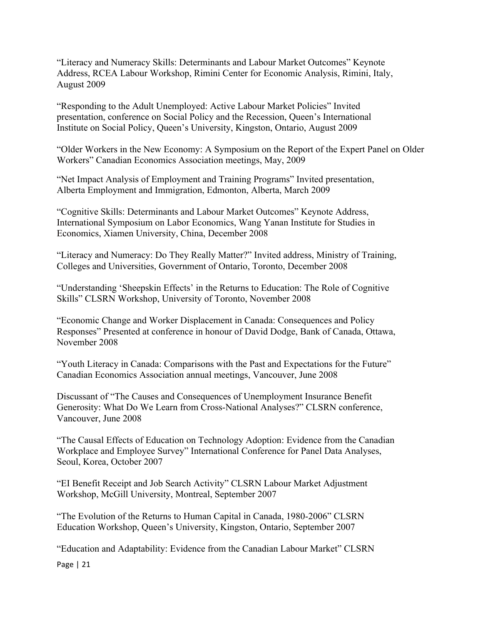"Literacy and Numeracy Skills: Determinants and Labour Market Outcomes" Keynote Address, RCEA Labour Workshop, Rimini Center for Economic Analysis, Rimini, Italy, August 2009

"Responding to the Adult Unemployed: Active Labour Market Policies" Invited presentation, conference on Social Policy and the Recession, Queen's International Institute on Social Policy, Queen's University, Kingston, Ontario, August 2009

"Older Workers in the New Economy: A Symposium on the Report of the Expert Panel on Older Workers" Canadian Economics Association meetings, May, 2009

"Net Impact Analysis of Employment and Training Programs" Invited presentation, Alberta Employment and Immigration, Edmonton, Alberta, March 2009

"Cognitive Skills: Determinants and Labour Market Outcomes" Keynote Address, International Symposium on Labor Economics, Wang Yanan Institute for Studies in Economics, Xiamen University, China, December 2008

"Literacy and Numeracy: Do They Really Matter?" Invited address, Ministry of Training, Colleges and Universities, Government of Ontario, Toronto, December 2008

"Understanding 'Sheepskin Effects' in the Returns to Education: The Role of Cognitive Skills" CLSRN Workshop, University of Toronto, November 2008

"Economic Change and Worker Displacement in Canada: Consequences and Policy Responses" Presented at conference in honour of David Dodge, Bank of Canada, Ottawa, November 2008

"Youth Literacy in Canada: Comparisons with the Past and Expectations for the Future" Canadian Economics Association annual meetings, Vancouver, June 2008

Discussant of "The Causes and Consequences of Unemployment Insurance Benefit Generosity: What Do We Learn from Cross-National Analyses?" CLSRN conference, Vancouver, June 2008

"The Causal Effects of Education on Technology Adoption: Evidence from the Canadian Workplace and Employee Survey" International Conference for Panel Data Analyses, Seoul, Korea, October 2007

"EI Benefit Receipt and Job Search Activity" CLSRN Labour Market Adjustment Workshop, McGill University, Montreal, September 2007

"The Evolution of the Returns to Human Capital in Canada, 1980-2006" CLSRN Education Workshop, Queen's University, Kingston, Ontario, September 2007

"Education and Adaptability: Evidence from the Canadian Labour Market" CLSRN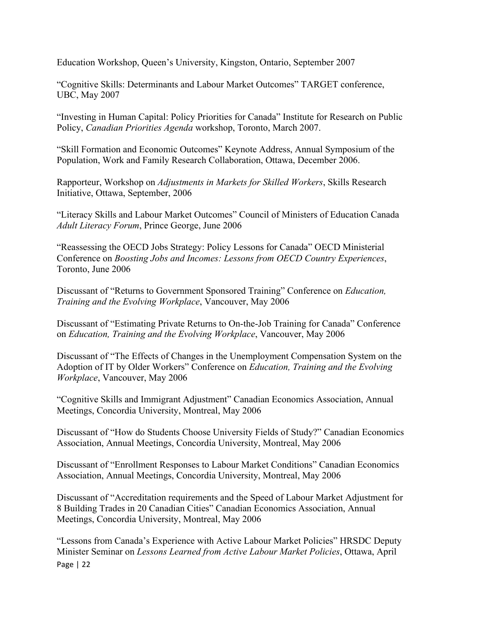Education Workshop, Queen's University, Kingston, Ontario, September 2007

"Cognitive Skills: Determinants and Labour Market Outcomes" TARGET conference, UBC, May 2007

"Investing in Human Capital: Policy Priorities for Canada" Institute for Research on Public Policy, *Canadian Priorities Agenda* workshop, Toronto, March 2007.

"Skill Formation and Economic Outcomes" Keynote Address, Annual Symposium of the Population, Work and Family Research Collaboration, Ottawa, December 2006.

Rapporteur, Workshop on *Adjustments in Markets for Skilled Workers*, Skills Research Initiative, Ottawa, September, 2006

"Literacy Skills and Labour Market Outcomes" Council of Ministers of Education Canada *Adult Literacy Forum*, Prince George, June 2006

"Reassessing the OECD Jobs Strategy: Policy Lessons for Canada" OECD Ministerial Conference on *Boosting Jobs and Incomes: Lessons from OECD Country Experiences*, Toronto, June 2006

Discussant of "Returns to Government Sponsored Training" Conference on *Education, Training and the Evolving Workplace*, Vancouver, May 2006

Discussant of "Estimating Private Returns to On-the-Job Training for Canada" Conference on *Education, Training and the Evolving Workplace*, Vancouver, May 2006

Discussant of "The Effects of Changes in the Unemployment Compensation System on the Adoption of IT by Older Workers" Conference on *Education, Training and the Evolving Workplace*, Vancouver, May 2006

"Cognitive Skills and Immigrant Adjustment" Canadian Economics Association, Annual Meetings, Concordia University, Montreal, May 2006

Discussant of "How do Students Choose University Fields of Study?" Canadian Economics Association, Annual Meetings, Concordia University, Montreal, May 2006

Discussant of "Enrollment Responses to Labour Market Conditions" Canadian Economics Association, Annual Meetings, Concordia University, Montreal, May 2006

Discussant of "Accreditation requirements and the Speed of Labour Market Adjustment for 8 Building Trades in 20 Canadian Cities" Canadian Economics Association, Annual Meetings, Concordia University, Montreal, May 2006

Page | 22 "Lessons from Canada's Experience with Active Labour Market Policies" HRSDC Deputy Minister Seminar on *Lessons Learned from Active Labour Market Policies*, Ottawa, April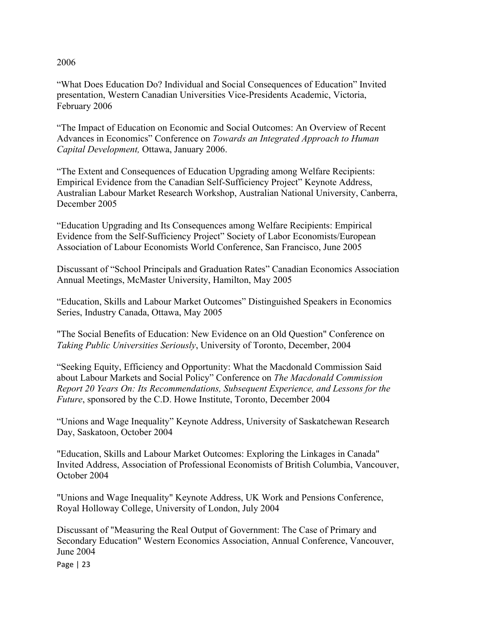### 2006

"What Does Education Do? Individual and Social Consequences of Education" Invited presentation, Western Canadian Universities Vice-Presidents Academic, Victoria, February 2006

"The Impact of Education on Economic and Social Outcomes: An Overview of Recent Advances in Economics" Conference on *Towards an Integrated Approach to Human Capital Development,* Ottawa, January 2006.

"The Extent and Consequences of Education Upgrading among Welfare Recipients: Empirical Evidence from the Canadian Self-Sufficiency Project" Keynote Address, Australian Labour Market Research Workshop, Australian National University, Canberra, December 2005

"Education Upgrading and Its Consequences among Welfare Recipients: Empirical Evidence from the Self-Sufficiency Project" Society of Labor Economists/European Association of Labour Economists World Conference, San Francisco, June 2005

Discussant of "School Principals and Graduation Rates" Canadian Economics Association Annual Meetings, McMaster University, Hamilton, May 2005

"Education, Skills and Labour Market Outcomes" Distinguished Speakers in Economics Series, Industry Canada, Ottawa, May 2005

"The Social Benefits of Education: New Evidence on an Old Question" Conference on *Taking Public Universities Seriously*, University of Toronto, December, 2004

"Seeking Equity, Efficiency and Opportunity: What the Macdonald Commission Said about Labour Markets and Social Policy" Conference on *The Macdonald Commission Report 20 Years On: Its Recommendations, Subsequent Experience, and Lessons for the Future*, sponsored by the C.D. Howe Institute, Toronto, December 2004

"Unions and Wage Inequality" Keynote Address, University of Saskatchewan Research Day, Saskatoon, October 2004

"Education, Skills and Labour Market Outcomes: Exploring the Linkages in Canada" Invited Address, Association of Professional Economists of British Columbia, Vancouver, October 2004

"Unions and Wage Inequality" Keynote Address, UK Work and Pensions Conference, Royal Holloway College, University of London, July 2004

Discussant of "Measuring the Real Output of Government: The Case of Primary and Secondary Education" Western Economics Association, Annual Conference, Vancouver, June 2004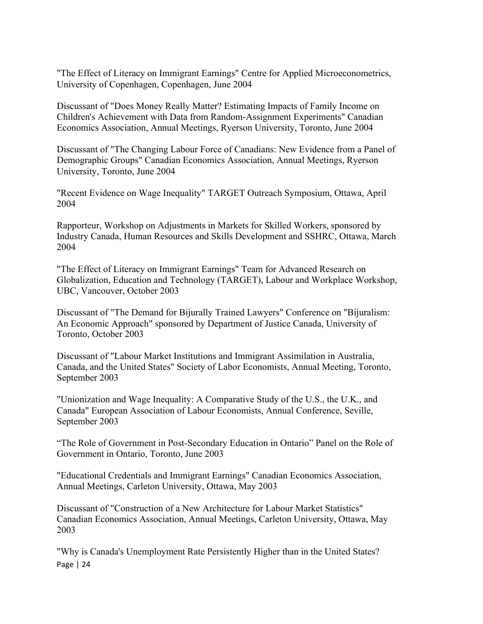"The Effect of Literacy on Immigrant Earnings" Centre for Applied Microeconometrics, University of Copenhagen, Copenhagen, June 2004

Discussant of "Does Money Really Matter? Estimating Impacts of Family Income on Children's Achievement with Data from Random-Assignment Experiments" Canadian Economics Association, Annual Meetings, Ryerson University, Toronto, June 2004

Discussant of "The Changing Labour Force of Canadians: New Evidence from a Panel of Demographic Groups" Canadian Economics Association, Annual Meetings, Ryerson University, Toronto, June 2004

"Recent Evidence on Wage Inequality" TARGET Outreach Symposium, Ottawa, April 2004

Rapporteur, Workshop on Adjustments in Markets for Skilled Workers, sponsored by Industry Canada, Human Resources and Skills Development and SSHRC, Ottawa, March 2004

"The Effect of Literacy on Immigrant Earnings" Team for Advanced Research on Globalization, Education and Technology (TARGET), Labour and Workplace Workshop, UBC, Vancouver, October 2003

Discussant of "The Demand for Bijurally Trained Lawyers" Conference on "Bijuralism: An Economic Approach" sponsored by Department of Justice Canada, University of Toronto, October 2003

Discussant of "Labour Market Institutions and Immigrant Assimilation in Australia, Canada, and the United States" Society of Labor Economists, Annual Meeting, Toronto, September 2003

"Unionization and Wage Inequality: A Comparative Study of the U.S., the U.K., and Canada" European Association of Labour Economists, Annual Conference, Seville, September 2003

"The Role of Government in Post-Secondary Education in Ontario" Panel on the Role of Government in Ontario, Toronto, June 2003

"Educational Credentials and Immigrant Earnings" Canadian Economics Association, Annual Meetings, Carleton University, Ottawa, May 2003

Discussant of "Construction of a New Architecture for Labour Market Statistics" Canadian Economics Association, Annual Meetings, Carleton University, Ottawa, May 2003

Page | 24 "Why is Canada's Unemployment Rate Persistently Higher than in the United States?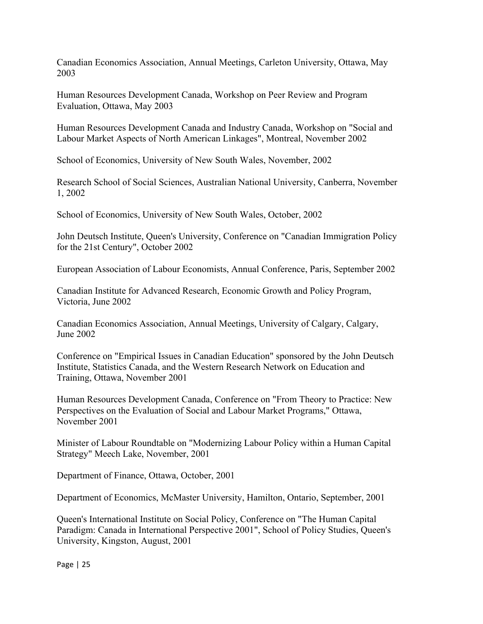Canadian Economics Association, Annual Meetings, Carleton University, Ottawa, May 2003

Human Resources Development Canada, Workshop on Peer Review and Program Evaluation, Ottawa, May 2003

Human Resources Development Canada and Industry Canada, Workshop on "Social and Labour Market Aspects of North American Linkages", Montreal, November 2002

School of Economics, University of New South Wales, November, 2002

Research School of Social Sciences, Australian National University, Canberra, November 1, 2002

School of Economics, University of New South Wales, October, 2002

John Deutsch Institute, Queen's University, Conference on "Canadian Immigration Policy for the 21st Century", October 2002

European Association of Labour Economists, Annual Conference, Paris, September 2002

Canadian Institute for Advanced Research, Economic Growth and Policy Program, Victoria, June 2002

Canadian Economics Association, Annual Meetings, University of Calgary, Calgary, June 2002

Conference on "Empirical Issues in Canadian Education" sponsored by the John Deutsch Institute, Statistics Canada, and the Western Research Network on Education and Training, Ottawa, November 2001

Human Resources Development Canada, Conference on "From Theory to Practice: New Perspectives on the Evaluation of Social and Labour Market Programs," Ottawa, November 2001

Minister of Labour Roundtable on "Modernizing Labour Policy within a Human Capital Strategy" Meech Lake, November, 2001

Department of Finance, Ottawa, October, 2001

Department of Economics, McMaster University, Hamilton, Ontario, September, 2001

Queen's International Institute on Social Policy, Conference on "The Human Capital Paradigm: Canada in International Perspective 2001", School of Policy Studies, Queen's University, Kingston, August, 2001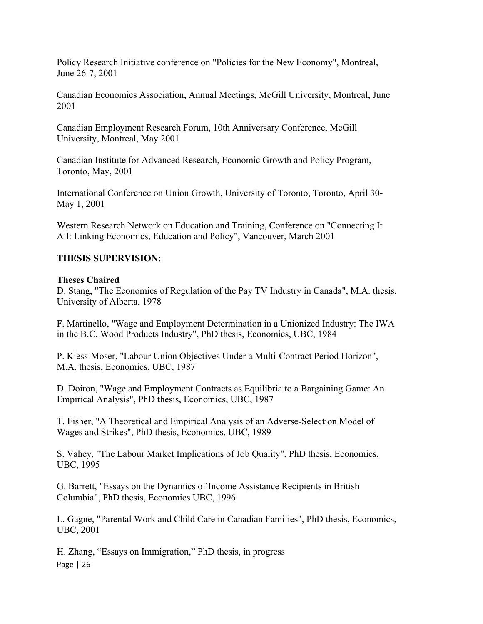Policy Research Initiative conference on "Policies for the New Economy", Montreal, June 26-7, 2001

Canadian Economics Association, Annual Meetings, McGill University, Montreal, June 2001

Canadian Employment Research Forum, 10th Anniversary Conference, McGill University, Montreal, May 2001

Canadian Institute for Advanced Research, Economic Growth and Policy Program, Toronto, May, 2001

International Conference on Union Growth, University of Toronto, Toronto, April 30- May 1, 2001

Western Research Network on Education and Training, Conference on "Connecting It All: Linking Economics, Education and Policy", Vancouver, March 2001

# **THESIS SUPERVISION:**

#### **Theses Chaired**

D. Stang, "The Economics of Regulation of the Pay TV Industry in Canada", M.A. thesis, University of Alberta, 1978

F. Martinello, "Wage and Employment Determination in a Unionized Industry: The IWA in the B.C. Wood Products Industry", PhD thesis, Economics, UBC, 1984

P. Kiess-Moser, "Labour Union Objectives Under a Multi-Contract Period Horizon", M.A. thesis, Economics, UBC, 1987

D. Doiron, "Wage and Employment Contracts as Equilibria to a Bargaining Game: An Empirical Analysis", PhD thesis, Economics, UBC, 1987

T. Fisher, "A Theoretical and Empirical Analysis of an Adverse-Selection Model of Wages and Strikes", PhD thesis, Economics, UBC, 1989

S. Vahey, "The Labour Market Implications of Job Quality", PhD thesis, Economics, UBC, 1995

G. Barrett, "Essays on the Dynamics of Income Assistance Recipients in British Columbia", PhD thesis, Economics UBC, 1996

L. Gagne, "Parental Work and Child Care in Canadian Families", PhD thesis, Economics, UBC, 2001

Page | 26 H. Zhang, "Essays on Immigration," PhD thesis, in progress